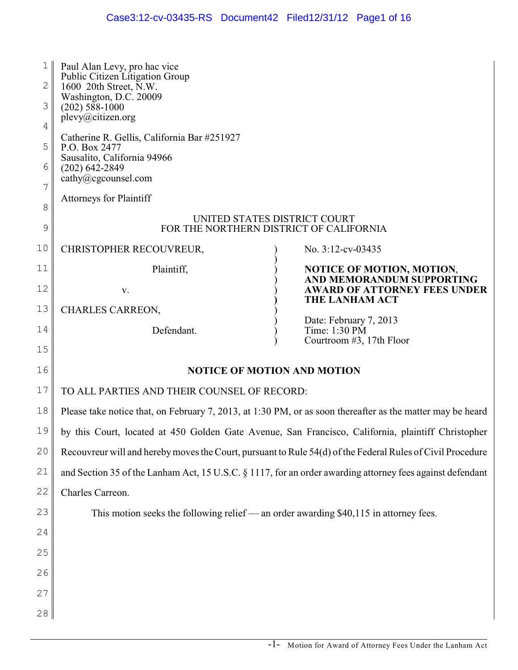| $\mathbf{1}$<br>2<br>3<br>4<br>5<br>6<br>7 | Paul Alan Levy, pro hac vice<br>Public Citizen Litigation Group<br>1600 20th Street, N.W.<br>Washington, D.C. 20009<br>$(202)$ 588-1000<br>plevy@citizen.org<br>Catherine R. Gellis, California Bar #251927<br>P.O. Box 2477<br>Sausalito, California 94966<br>$(202)$ 642-2849<br>cathy@cgcounsel.com<br><b>Attorneys for Plaintiff</b> |  |                                                                  |
|--------------------------------------------|------------------------------------------------------------------------------------------------------------------------------------------------------------------------------------------------------------------------------------------------------------------------------------------------------------------------------------------|--|------------------------------------------------------------------|
| 8                                          | UNITED STATES DISTRICT COURT                                                                                                                                                                                                                                                                                                             |  |                                                                  |
| 9                                          | FOR THE NORTHERN DISTRICT OF CALIFORNIA                                                                                                                                                                                                                                                                                                  |  |                                                                  |
| 10                                         | CHRISTOPHER RECOUVREUR,                                                                                                                                                                                                                                                                                                                  |  | No. 3:12-cv-03435                                                |
| 11                                         | Plaintiff,                                                                                                                                                                                                                                                                                                                               |  | <b>NOTICE OF MOTION, MOTION,</b>                                 |
| 12                                         | V.                                                                                                                                                                                                                                                                                                                                       |  | AND MEMORANDUM SUPPORTING<br><b>AWARD OF ATTORNEY FEES UNDER</b> |
| 13                                         | CHARLES CARREON,                                                                                                                                                                                                                                                                                                                         |  | THE LANHAM ACT                                                   |
| 14                                         | Defendant.                                                                                                                                                                                                                                                                                                                               |  | Date: February 7, 2013<br>Time: 1:30 PM                          |
| 15                                         |                                                                                                                                                                                                                                                                                                                                          |  | Courtroom #3, 17th Floor                                         |
| 16                                         | <b>NOTICE OF MOTION AND MOTION</b>                                                                                                                                                                                                                                                                                                       |  |                                                                  |
| 17                                         | TO ALL PARTIES AND THEIR COUNSEL OF RECORD:                                                                                                                                                                                                                                                                                              |  |                                                                  |
| 18                                         | Please take notice that, on February 7, 2013, at 1:30 PM, or as soon thereafter as the matter may be heard                                                                                                                                                                                                                               |  |                                                                  |
| 19                                         | by this Court, located at 450 Golden Gate Avenue, San Francisco, California, plaintiff Christopher                                                                                                                                                                                                                                       |  |                                                                  |
| 20                                         | Recouvreur will and hereby moves the Court, pursuant to Rule 54(d) of the Federal Rules of Civil Procedure                                                                                                                                                                                                                               |  |                                                                  |
| 21                                         | and Section 35 of the Lanham Act, 15 U.S.C. § 1117, for an order awarding attorney fees against defendant                                                                                                                                                                                                                                |  |                                                                  |
| 22                                         | Charles Carreon.                                                                                                                                                                                                                                                                                                                         |  |                                                                  |
| 23                                         | This motion seeks the following relief — an order awarding $$40,115$ in attorney fees.                                                                                                                                                                                                                                                   |  |                                                                  |
| 24                                         |                                                                                                                                                                                                                                                                                                                                          |  |                                                                  |
| 25                                         |                                                                                                                                                                                                                                                                                                                                          |  |                                                                  |
| 26                                         |                                                                                                                                                                                                                                                                                                                                          |  |                                                                  |
| 27                                         |                                                                                                                                                                                                                                                                                                                                          |  |                                                                  |
| 28                                         |                                                                                                                                                                                                                                                                                                                                          |  |                                                                  |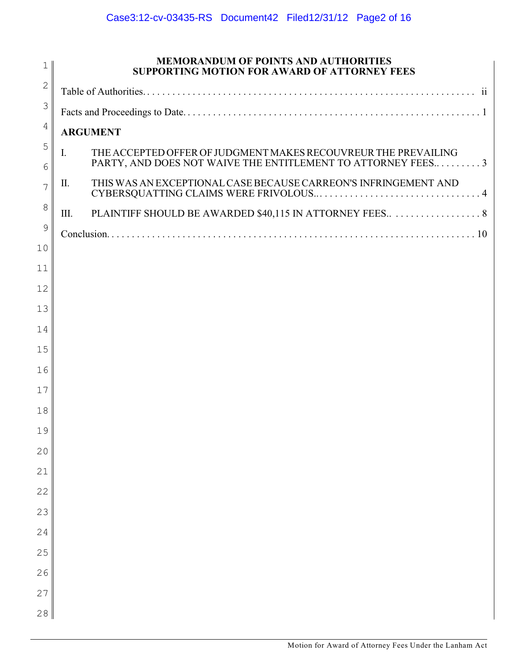| $\mathbf 1$ | <b>MEMORANDUM OF POINTS AND AUTHORITIES</b><br><b>SUPPORTING MOTION FOR AWARD OF ATTORNEY FEES</b>                                  |  |  |
|-------------|-------------------------------------------------------------------------------------------------------------------------------------|--|--|
| $\sqrt{2}$  |                                                                                                                                     |  |  |
| 3           |                                                                                                                                     |  |  |
| 4           | <b>ARGUMENT</b>                                                                                                                     |  |  |
| 5<br>6      | THE ACCEPTED OFFER OF JUDGMENT MAKES RECOUVREUR THE PREVAILING<br>I.<br>PARTY, AND DOES NOT WAIVE THE ENTITLEMENT TO ATTORNEY FEES3 |  |  |
| 7           | THIS WAS AN EXCEPTIONAL CASE BECAUSE CARREON'S INFRINGEMENT AND<br>П.                                                               |  |  |
| 8           | Ш.                                                                                                                                  |  |  |
| 9           |                                                                                                                                     |  |  |
| 10          |                                                                                                                                     |  |  |
| 11          |                                                                                                                                     |  |  |
| 12          |                                                                                                                                     |  |  |
| 13          |                                                                                                                                     |  |  |
| 14          |                                                                                                                                     |  |  |
| 15          |                                                                                                                                     |  |  |
| 16<br>17    |                                                                                                                                     |  |  |
| 18          |                                                                                                                                     |  |  |
| 19          |                                                                                                                                     |  |  |
| 20          |                                                                                                                                     |  |  |
| 21          |                                                                                                                                     |  |  |
| 22          |                                                                                                                                     |  |  |
| 23          |                                                                                                                                     |  |  |
| 24          |                                                                                                                                     |  |  |
| 25          |                                                                                                                                     |  |  |
| 26          |                                                                                                                                     |  |  |
| 27          |                                                                                                                                     |  |  |
| 28          |                                                                                                                                     |  |  |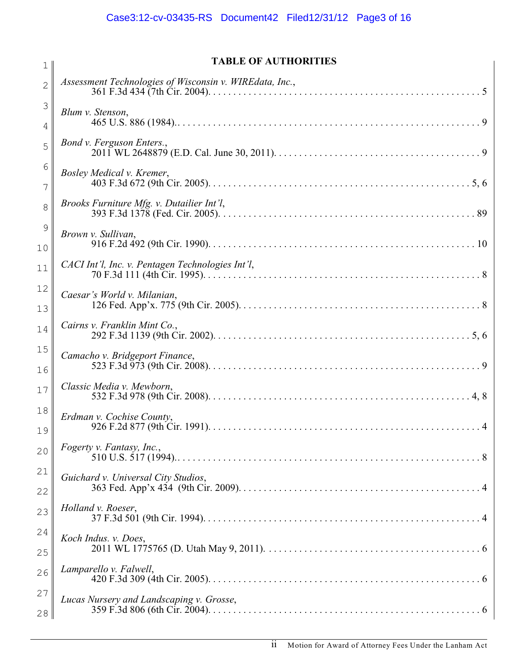| $\mathbf 1$         | <b>TABLE OF AUTHORITIES</b>                             |
|---------------------|---------------------------------------------------------|
| $\overline{2}$      | Assessment Technologies of Wisconsin v. WIREdata, Inc., |
| 3<br>4              | Blum v. Stenson,                                        |
| 5                   | Bond v. Ferguson Enters.,                               |
| 6<br>7              | Bosley Medical v. Kremer,                               |
| 8                   | Brooks Furniture Mfg. v. Dutailier Int'l,               |
| $\mathcal{G}$<br>10 | Brown v. Sullivan,                                      |
| 11                  | CACI Int'l, Inc. v. Pentagen Technologies Int'l,        |
| 12<br>13            | Caesar's World v. Milanian,                             |
| 14                  | Cairns v. Franklin Mint Co.,                            |
| 15<br>16            | Camacho v. Bridgeport Finance,                          |
| 17                  | Classic Media v. Mewborn,                               |
| 18<br>19            | Erdman v. Cochise County,                               |
| 20                  | Fogerty v. Fantasy, Inc.,                               |
| 21<br>22            | Guichard v. Universal City Studios,                     |
| 23                  | Holland v. Roeser,                                      |
| 24<br>25            | Koch Indus. v. Does,                                    |
| 26                  | Lamparello v. Falwell,                                  |
| 27<br>28            | Lucas Nursery and Landscaping v. Grosse,                |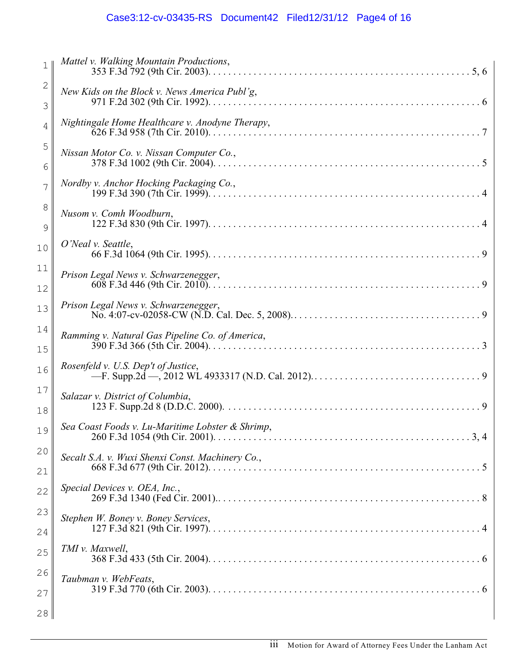# Case3:12-cv-03435-RS Document42 Filed12/31/12 Page4 of 16

| $\mathbf 1$       | Mattel v. Walking Mountain Productions,          |
|-------------------|--------------------------------------------------|
| $\mathbf{2}$<br>3 | New Kids on the Block v. News America Publ'g,    |
| 4                 | Nightingale Home Healthcare v. Anodyne Therapy,  |
| 5<br>6            | Nissan Motor Co. v. Nissan Computer Co.,         |
| 7                 | Nordby v. Anchor Hocking Packaging Co.,          |
| 8<br>9            | Nusom v. Comh Woodburn,                          |
| 10                | O'Neal v. Seattle,                               |
| 11<br>12          | Prison Legal News v. Schwarzenegger,             |
| 13                | Prison Legal News v. Schwarzenegger,             |
| 14<br>15          | Ramming v. Natural Gas Pipeline Co. of America,  |
| 16                | Rosenfeld v. U.S. Dep't of Justice,              |
| $17$<br>18        | Salazar v. District of Columbia,                 |
| 19                | Sea Coast Foods v. Lu-Maritime Lobster & Shrimp, |
| 20<br>21          | Secalt S.A. v. Wuxi Shenxi Const. Machinery Co., |
| 22                | Special Devices v. OEA, Inc.,                    |
| 23<br>24          | Stephen W. Boney v. Boney Services,              |
| 25                | TMI v. Maxwell,                                  |
| 26<br>27          | Taubman v. WebFeats,                             |
| 28                |                                                  |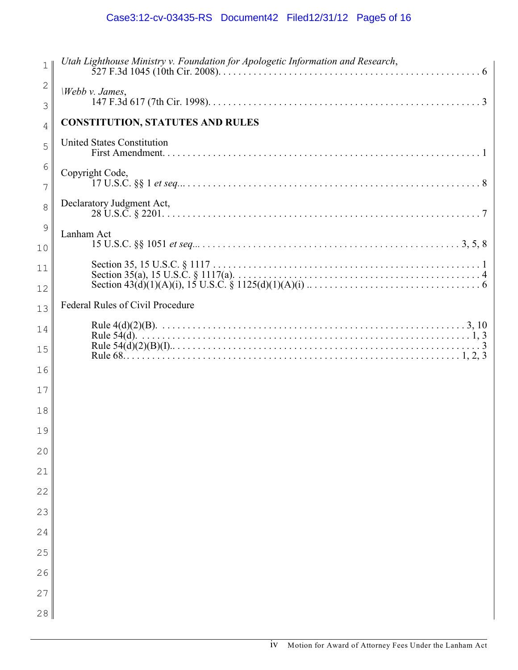# Case3:12-cv-03435-RS Document42 Filed12/31/12 Page5 of 16

| $\mathbf 1$  | Utah Lighthouse Ministry v. Foundation for Apologetic Information and Research, |
|--------------|---------------------------------------------------------------------------------|
| $\mathbf{2}$ | Webb v. James,                                                                  |
| 3            |                                                                                 |
| 4            | <b>CONSTITUTION, STATUTES AND RULES</b>                                         |
| 5            | <b>United States Constitution</b>                                               |
| 6<br>7       | Copyright Code,                                                                 |
| 8            | Declaratory Judgment Act,                                                       |
| 9<br>10      | Lanham Act                                                                      |
| 11           |                                                                                 |
| 12           |                                                                                 |
| 13           | Federal Rules of Civil Procedure                                                |
| 14           |                                                                                 |
| 15           |                                                                                 |
| 16           |                                                                                 |
| 17           |                                                                                 |
| 18           |                                                                                 |
| 19           |                                                                                 |
| 20           |                                                                                 |
| 21           |                                                                                 |
| 22           |                                                                                 |
| 23           |                                                                                 |
| 24           |                                                                                 |
| 25           |                                                                                 |
| 26           |                                                                                 |
| 27           |                                                                                 |
| 28           |                                                                                 |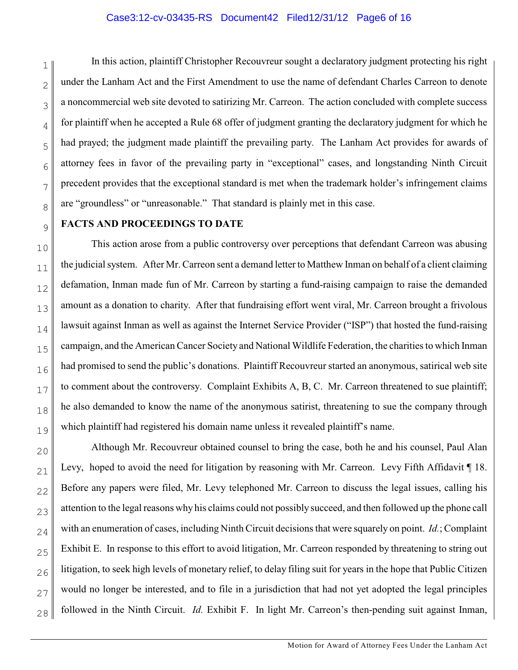#### Case3:12-cv-03435-RS Document42 Filed12/31/12 Page6 of 16

1 2 3 4 5 6 7 8 In this action, plaintiff Christopher Recouvreur sought a declaratory judgment protecting his right under the Lanham Act and the First Amendment to use the name of defendant Charles Carreon to denote a noncommercial web site devoted to satirizing Mr. Carreon. The action concluded with complete success for plaintiff when he accepted a Rule 68 offer of judgment granting the declaratory judgment for which he had prayed; the judgment made plaintiff the prevailing party. The Lanham Act provides for awards of attorney fees in favor of the prevailing party in "exceptional" cases, and longstanding Ninth Circuit precedent provides that the exceptional standard is met when the trademark holder's infringement claims are "groundless" or "unreasonable." That standard is plainly met in this case.

#### **FACTS AND PROCEEDINGS TO DATE**

9

10 11 12 13 14 15 16 17 18 19 This action arose from a public controversy over perceptions that defendant Carreon was abusing the judicial system. After Mr. Carreon sent a demand letter to Matthew Inman on behalf of a client claiming defamation, Inman made fun of Mr. Carreon by starting a fund-raising campaign to raise the demanded amount as a donation to charity. After that fundraising effort went viral, Mr. Carreon brought a frivolous lawsuit against Inman as well as against the Internet Service Provider ("ISP") that hosted the fund-raising campaign, and the American Cancer Society and National Wildlife Federation, the charities to which Inman had promised to send the public's donations. Plaintiff Recouvreur started an anonymous, satirical web site to comment about the controversy. Complaint Exhibits A, B, C. Mr. Carreon threatened to sue plaintiff; he also demanded to know the name of the anonymous satirist, threatening to sue the company through which plaintiff had registered his domain name unless it revealed plaintiff's name.

20 21 22 23 24 25 26 27 28 Although Mr. Recouvreur obtained counsel to bring the case, both he and his counsel, Paul Alan Levy, hoped to avoid the need for litigation by reasoning with Mr. Carreon. Levy Fifth Affidavit 18. Before any papers were filed, Mr. Levy telephoned Mr. Carreon to discuss the legal issues, calling his attention to the legal reasons why his claims could not possibly succeed, and then followed up the phone call with an enumeration of cases, including Ninth Circuit decisions that were squarely on point. *Id.*; Complaint Exhibit E. In response to this effort to avoid litigation, Mr. Carreon responded by threatening to string out litigation, to seek high levels of monetary relief, to delay filing suit for years in the hope that Public Citizen would no longer be interested, and to file in a jurisdiction that had not yet adopted the legal principles followed in the Ninth Circuit. *Id.* Exhibit F. In light Mr. Carreon's then-pending suit against Inman,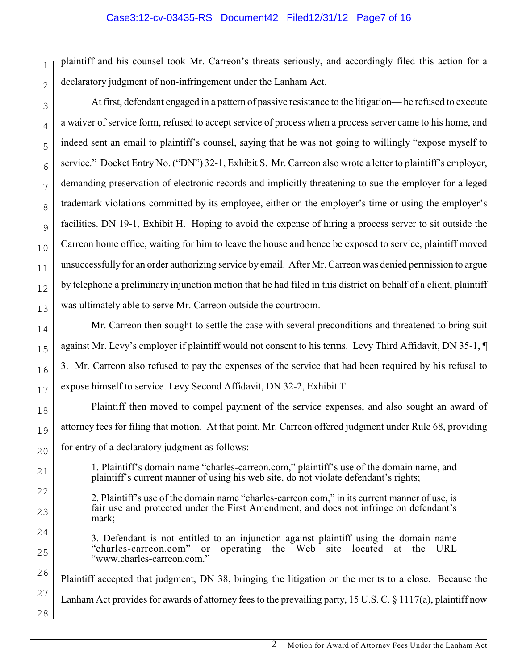#### Case3:12-cv-03435-RS Document42 Filed12/31/12 Page7 of 16

1 2 plaintiff and his counsel took Mr. Carreon's threats seriously, and accordingly filed this action for a declaratory judgment of non-infringement under the Lanham Act.

At first, defendant engaged in a pattern of passive resistance to the litigation— he refused to execute a waiver of service form, refused to accept service of process when a process server came to his home, and indeed sent an email to plaintiff's counsel, saying that he was not going to willingly "expose myself to service." Docket Entry No. ("DN") 32-1, Exhibit S. Mr. Carreon also wrote a letter to plaintiff's employer, demanding preservation of electronic records and implicitly threatening to sue the employer for alleged trademark violations committed by its employee, either on the employer's time or using the employer's facilities. DN 19-1, Exhibit H. Hoping to avoid the expense of hiring a process server to sit outside the Carreon home office, waiting for him to leave the house and hence be exposed to service, plaintiff moved unsuccessfully for an order authorizing service by email. After Mr. Carreon was denied permission to argue by telephone a preliminary injunction motion that he had filed in this district on behalf of a client, plaintiff was ultimately able to serve Mr. Carreon outside the courtroom.

Mr. Carreon then sought to settle the case with several preconditions and threatened to bring suit against Mr. Levy's employer if plaintiff would not consent to his terms. Levy Third Affidavit, DN 35-1, ¶ 3. Mr. Carreon also refused to pay the expenses of the service that had been required by his refusal to expose himself to service. Levy Second Affidavit, DN 32-2, Exhibit T.

Plaintiff then moved to compel payment of the service expenses, and also sought an award of attorney fees for filing that motion. At that point, Mr. Carreon offered judgment under Rule 68, providing for entry of a declaratory judgment as follows:

1. Plaintiff's domain name "charles-carreon.com," plaintiff's use of the domain name, and plaintiff's current manner of using his web site, do not violate defendant's rights;

2. Plaintiff's use of the domain name "charles-carreon.com," in its current manner of use, is fair use and protected under the First Amendment, and does not infringe on defendant's mark;

3. Defendant is not entitled to an injunction against plaintiff using the domain name "charles-carreon.com" or operating the Web site located at the URL "www.charles-carreon.com."

26 27 28 Plaintiff accepted that judgment, DN 38, bringing the litigation on the merits to a close. Because the Lanham Act provides for awards of attorney fees to the prevailing party, 15 U.S. C. § 1117(a), plaintiff now

3

4

5

6

7

8

9

10

11

12

13

14

15

16

17

18

19

20

21

22

23

24

25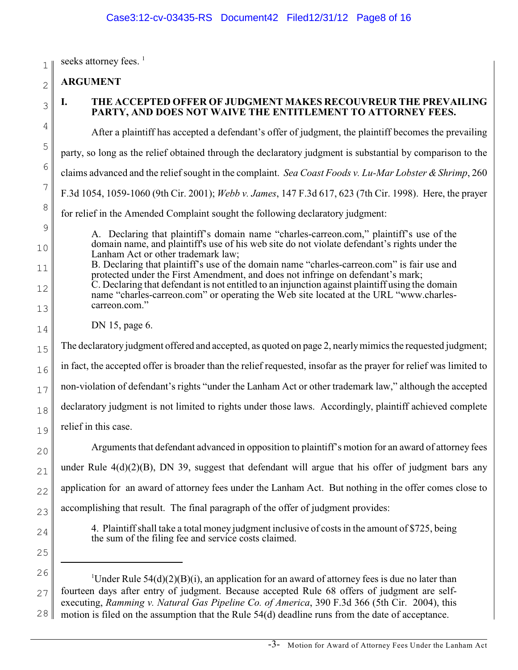seeks attorney fees. <sup>1</sup>

2 **ARGUMENT**

3

4

5

6

7

8

9

10

11

12

13

14

1

## **I. THE ACCEPTED OFFER OF JUDGMENT MAKES RECOUVREUR THE PREVAILING PARTY, AND DOES NOT WAIVE THE ENTITLEMENT TO ATTORNEY FEES.**

After a plaintiff has accepted a defendant's offer of judgment, the plaintiff becomes the prevailing

party, so long as the relief obtained through the declaratory judgment is substantial by comparison to the

claims advanced and the relief sought in the complaint. *Sea Coast Foods v. Lu-Mar Lobster & Shrimp*, 260

F.3d 1054, 1059-1060 (9th Cir. 2001); *Webb v. James*, 147 F.3d 617, 623 (7th Cir. 1998). Here, the prayer

for relief in the Amended Complaint sought the following declaratory judgment:

- A. Declaring that plaintiff's domain name "charles-carreon.com," plaintiff's use of the domain name, and plaintiff's use of his web site do not violate defendant's rights under the Lanham Act or other trademark law;
- B. Declaring that plaintiff's use of the domain name "charles-carreon.com" is fair use and protected under the First Amendment, and does not infringe on defendant's mark; C. Declaring that defendant is not entitled to an injunction against plaintiff using the domain
	- name "charles-carreon.com" or operating the Web site located at the URL "www.charlescarreon.com."
		- DN 15, page 6.

15 The declaratory judgment offered and accepted, as quoted on page 2, nearly mimics the requested judgment;

16 in fact, the accepted offer is broader than the relief requested, insofar as the prayer for relief was limited to

17 non-violation of defendant's rights "under the Lanham Act or other trademark law," although the accepted

18 declaratory judgment is not limited to rights under those laws. Accordingly, plaintiff achieved complete

19 relief in this case.

22 23 Arguments that defendant advanced in opposition to plaintiff's motion for an award of attorney fees under Rule 4(d)(2)(B), DN 39, suggest that defendant will argue that his offer of judgment bars any application for an award of attorney fees under the Lanham Act. But nothing in the offer comes close to accomplishing that result. The final paragraph of the offer of judgment provides:

- 4. Plaintiff shall take a total money judgment inclusive of costs in the amount of \$725, being the sum of the filing fee and service costs claimed.
- 25

24

20

21

26 27 28 <sup>1</sup>Under Rule 54(d)(2)(B)(i), an application for an award of attorney fees is due no later than fourteen days after entry of judgment. Because accepted Rule 68 offers of judgment are selfexecuting, *Ramming v. Natural Gas Pipeline Co. of America*, 390 F.3d 366 (5th Cir. 2004), this motion is filed on the assumption that the Rule 54(d) deadline runs from the date of acceptance.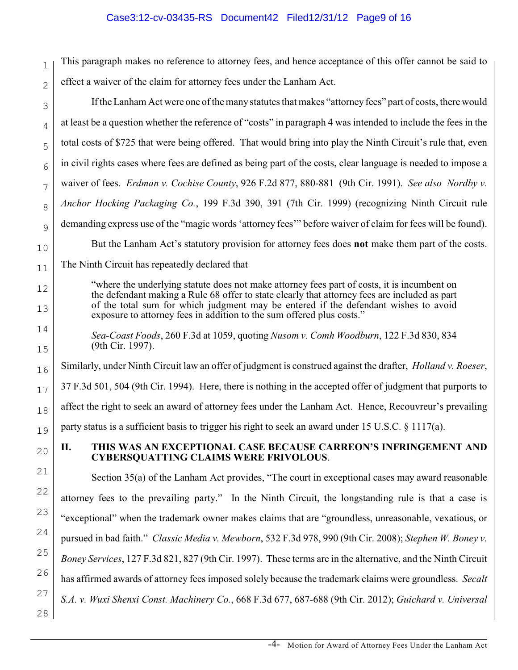1 2 This paragraph makes no reference to attorney fees, and hence acceptance of this offer cannot be said to effect a waiver of the claim for attorney fees under the Lanham Act.

If the Lanham Act were one of the many statutes that makes "attorney fees" part of costs, there would at least be a question whether the reference of "costs" in paragraph 4 was intended to include the fees in the total costs of \$725 that were being offered. That would bring into play the Ninth Circuit's rule that, even in civil rights cases where fees are defined as being part of the costs, clear language is needed to impose a waiver of fees. *Erdman v. Cochise County*, 926 F.2d 877, 880-881 (9th Cir. 1991). *See also Nordby v. Anchor Hocking Packaging Co.*, 199 F.3d 390, 391 (7th Cir. 1999) (recognizing Ninth Circuit rule demanding express use of the "magic words 'attorney fees'" before waiver of claim for fees will be found). But the Lanham Act's statutory provision for attorney fees does **not** make them part of the costs.

The Ninth Circuit has repeatedly declared that

"where the underlying statute does not make attorney fees part of costs, it is incumbent on the defendant making a Rule 68 offer to state clearly that attorney fees are included as part of the total sum for which judgment may be entered if the defendant wishes to avoid exposure to attorney fees in addition to the sum offered plus costs."

*Sea-Coast Foods*, 260 F.3d at 1059, quoting *Nusom v. Comh Woodburn*, 122 F.3d 830, 834 (9th Cir. 1997).

Similarly, under Ninth Circuit law an offer of judgment is construed against the drafter, *Holland v. Roeser*, 37 F.3d 501, 504 (9th Cir. 1994). Here, there is nothing in the accepted offer of judgment that purports to

affect the right to seek an award of attorney fees under the Lanham Act. Hence, Recouvreur's prevailing

party status is a sufficient basis to trigger his right to seek an award under 15 U.S.C.  $\S$  1117(a).

## **II. THIS WAS AN EXCEPTIONAL CASE BECAUSE CARREON'S INFRINGEMENT AND CYBERSQUATTING CLAIMS WERE FRIVOLOUS**.

28 Section 35(a) of the Lanham Act provides, "The court in exceptional cases may award reasonable attorney fees to the prevailing party." In the Ninth Circuit, the longstanding rule is that a case is "exceptional" when the trademark owner makes claims that are "groundless, unreasonable, vexatious, or pursued in bad faith." *Classic Media v. Mewborn*, 532 F.3d 978, 990 (9th Cir. 2008); *Stephen W. Boney v. Boney Services*, 127 F.3d 821, 827 (9th Cir. 1997). These terms are in the alternative, and the Ninth Circuit has affirmed awards of attorney fees imposed solely because the trademark claims were groundless. *Secalt S.A. v. Wuxi Shenxi Const. Machinery Co.*, 668 F.3d 677, 687-688 (9th Cir. 2012); *Guichard v. Universal*

3

4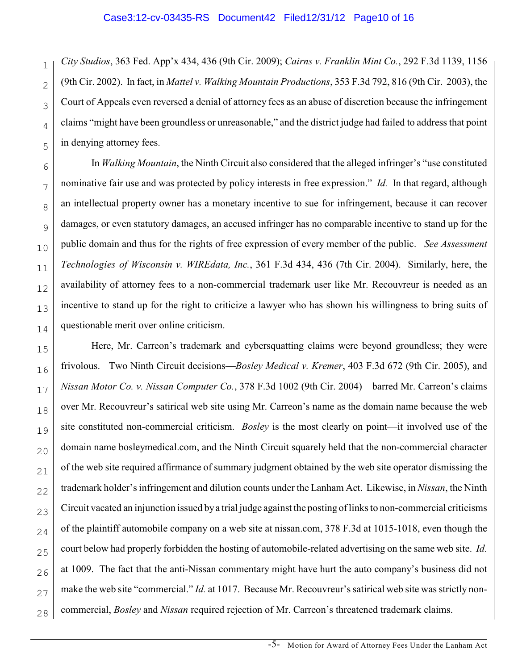2

4

5

7

8

9

10

11

12

13

14

1 3 *City Studios*, 363 Fed. App'x 434, 436 (9th Cir. 2009); *Cairns v. Franklin Mint Co.*, 292 F.3d 1139, 1156 (9th Cir. 2002). In fact, in *Mattel v. Walking Mountain Productions*, 353 F.3d 792, 816 (9th Cir. 2003), the Court of Appeals even reversed a denial of attorney fees as an abuse of discretion because the infringement claims "might have been groundless or unreasonable," and the district judge had failed to address that point in denying attorney fees.

6 In *Walking Mountain*, the Ninth Circuit also considered that the alleged infringer's "use constituted nominative fair use and was protected by policy interests in free expression." *Id.* In that regard, although an intellectual property owner has a monetary incentive to sue for infringement, because it can recover damages, or even statutory damages, an accused infringer has no comparable incentive to stand up for the public domain and thus for the rights of free expression of every member of the public. *See Assessment Technologies of Wisconsin v. WIREdata, Inc.*, 361 F.3d 434, 436 (7th Cir. 2004). Similarly, here, the availability of attorney fees to a non-commercial trademark user like Mr. Recouvreur is needed as an incentive to stand up for the right to criticize a lawyer who has shown his willingness to bring suits of questionable merit over online criticism.

15 16 17 18 19 20 21 22 23 24 25 26 27 28 Here, Mr. Carreon's trademark and cybersquatting claims were beyond groundless; they were frivolous. Two Ninth Circuit decisions—*Bosley Medical v. Kremer*, 403 F.3d 672 (9th Cir. 2005), and *Nissan Motor Co. v. Nissan Computer Co.*, 378 F.3d 1002 (9th Cir. 2004)—barred Mr. Carreon's claims over Mr. Recouvreur's satirical web site using Mr. Carreon's name as the domain name because the web site constituted non-commercial criticism. *Bosley* is the most clearly on point—it involved use of the domain name bosleymedical.com, and the Ninth Circuit squarely held that the non-commercial character of the web site required affirmance of summary judgment obtained by the web site operator dismissing the trademark holder's infringement and dilution counts under the Lanham Act. Likewise, in *Nissan*, the Ninth Circuit vacated an injunction issued bya trial judge against the posting oflinks to non-commercial criticisms of the plaintiff automobile company on a web site at nissan.com, 378 F.3d at 1015-1018, even though the court below had properly forbidden the hosting of automobile-related advertising on the same web site. *Id.* at 1009.The fact that the anti-Nissan commentary might have hurt the auto company's business did not make the web site "commercial." *Id.* at 1017. Because Mr. Recouvreur's satirical web site was strictly noncommercial, *Bosley* and *Nissan* required rejection of Mr. Carreon's threatened trademark claims.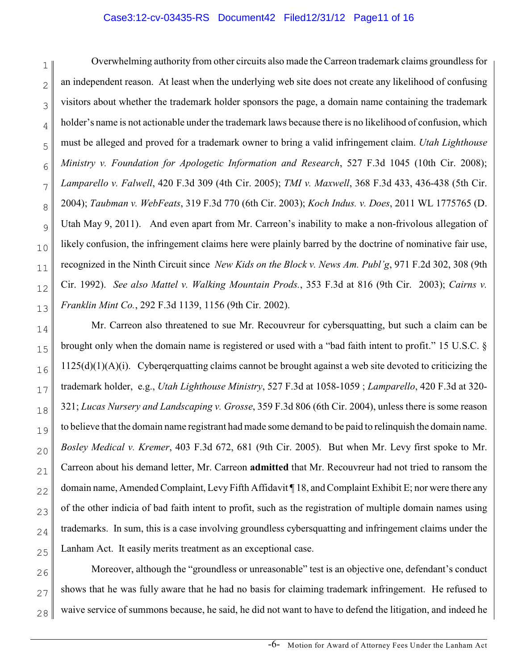#### Case3:12-cv-03435-RS Document42 Filed12/31/12 Page11 of 16

1 2 3 4 5 6 7 8 9 10 11 12 13 Overwhelming authority from other circuits also made the Carreon trademark claims groundless for an independent reason. At least when the underlying web site does not create any likelihood of confusing visitors about whether the trademark holder sponsors the page, a domain name containing the trademark holder's name is not actionable under the trademark laws because there is no likelihood of confusion, which must be alleged and proved for a trademark owner to bring a valid infringement claim. *Utah Lighthouse Ministry v. Foundation for Apologetic Information and Research*, 527 F.3d 1045 (10th Cir. 2008); *Lamparello v. Falwell*, 420 F.3d 309 (4th Cir. 2005); *TMI v. Maxwell*, 368 F.3d 433, 436-438 (5th Cir. 2004); *Taubman v. WebFeats*, 319 F.3d 770 (6th Cir. 2003); *Koch Indus. v. Does*, 2011 WL 1775765 (D. Utah May 9, 2011). And even apart from Mr. Carreon's inability to make a non-frivolous allegation of likely confusion, the infringement claims here were plainly barred by the doctrine of nominative fair use, recognized in the Ninth Circuit since *New Kids on the Block v. News Am. Publ'g*, 971 F.2d 302, 308 (9th Cir. 1992). *See also Mattel v. Walking Mountain Prods.*, 353 F.3d at 816 (9th Cir. 2003); *Cairns v. Franklin Mint Co.*, 292 F.3d 1139, 1156 (9th Cir. 2002).

14 15 16 17 18 19 20 21 22 23 24 25 Mr. Carreon also threatened to sue Mr. Recouvreur for cybersquatting, but such a claim can be brought only when the domain name is registered or used with a "bad faith intent to profit." 15 U.S.C. §  $1125(d)(1)(A)(i)$ . Cybergerquatting claims cannot be brought against a web site devoted to criticizing the trademark holder, e.g., *Utah Lighthouse Ministry*, 527 F.3d at 1058-1059 ; *Lamparello*, 420 F.3d at 320- 321; *Lucas Nursery and Landscaping v. Grosse*, 359 F.3d 806 (6th Cir. 2004), unless there is some reason to believe that the domain name registrant had made some demand to be paid to relinquish the domain name. *Bosley Medical v. Kremer*, 403 F.3d 672, 681 (9th Cir. 2005). But when Mr. Levy first spoke to Mr. Carreon about his demand letter, Mr. Carreon **admitted** that Mr. Recouvreur had not tried to ransom the domain name, Amended Complaint, Levy Fifth Affidavit ¶ 18, and Complaint Exhibit E; nor were there any of the other indicia of bad faith intent to profit, such as the registration of multiple domain names using trademarks. In sum, this is a case involving groundless cybersquatting and infringement claims under the Lanham Act. It easily merits treatment as an exceptional case.

26 27 28 Moreover, although the "groundless or unreasonable" test is an objective one, defendant's conduct shows that he was fully aware that he had no basis for claiming trademark infringement. He refused to waive service of summons because, he said, he did not want to have to defend the litigation, and indeed he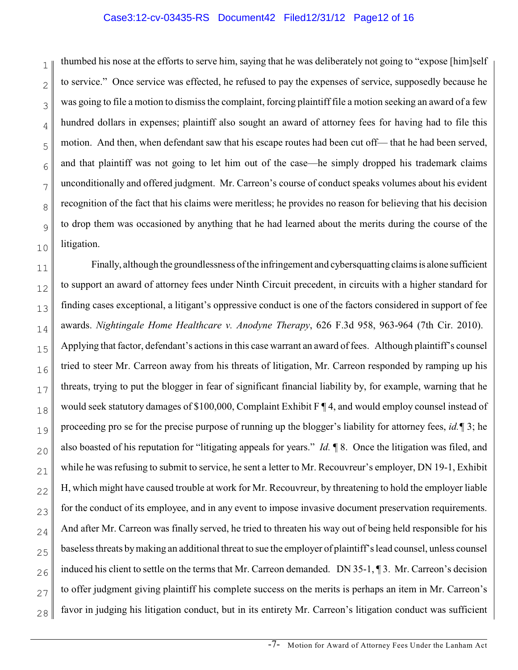#### Case3:12-cv-03435-RS Document42 Filed12/31/12 Page12 of 16

1 2 3 4 5 6 7 8 9 10 thumbed his nose at the efforts to serve him, saying that he was deliberately not going to "expose [him]self to service." Once service was effected, he refused to pay the expenses of service, supposedly because he was going to file a motion to dismiss the complaint, forcing plaintiff file a motion seeking an award of a few hundred dollars in expenses; plaintiff also sought an award of attorney fees for having had to file this motion. And then, when defendant saw that his escape routes had been cut off— that he had been served, and that plaintiff was not going to let him out of the case—he simply dropped his trademark claims unconditionally and offered judgment. Mr. Carreon's course of conduct speaks volumes about his evident recognition of the fact that his claims were meritless; he provides no reason for believing that his decision to drop them was occasioned by anything that he had learned about the merits during the course of the litigation.

11 12 13 14 15 16 17 18 19 20 21 22 23 24 25 26 27 28 Finally, although the groundlessness of the infringement and cybersquatting claims is alone sufficient to support an award of attorney fees under Ninth Circuit precedent, in circuits with a higher standard for finding cases exceptional, a litigant's oppressive conduct is one of the factors considered in support of fee awards. *Nightingale Home Healthcare v. Anodyne Therapy*, 626 F.3d 958, 963-964 (7th Cir. 2010). Applying that factor, defendant's actions in this case warrant an award of fees. Although plaintiff's counsel tried to steer Mr. Carreon away from his threats of litigation, Mr. Carreon responded by ramping up his threats, trying to put the blogger in fear of significant financial liability by, for example, warning that he would seek statutory damages of \$100,000, Complaint Exhibit F ¶ 4, and would employ counsel instead of proceeding pro se for the precise purpose of running up the blogger's liability for attorney fees, *id.¶* 3; he also boasted of his reputation for "litigating appeals for years." *Id.* ¶ 8. Once the litigation was filed, and while he was refusing to submit to service, he sent a letter to Mr. Recouvreur's employer, DN 19-1, Exhibit H, which might have caused trouble at work for Mr. Recouvreur, by threatening to hold the employer liable for the conduct of its employee, and in any event to impose invasive document preservation requirements. And after Mr. Carreon was finally served, he tried to threaten his way out of being held responsible for his baseless threats by making an additional threat to sue the employer of plaintiff's lead counsel, unless counsel induced his client to settle on the terms that Mr. Carreon demanded. DN 35-1, ¶ 3. Mr. Carreon's decision to offer judgment giving plaintiff his complete success on the merits is perhaps an item in Mr. Carreon's favor in judging his litigation conduct, but in its entirety Mr. Carreon's litigation conduct was sufficient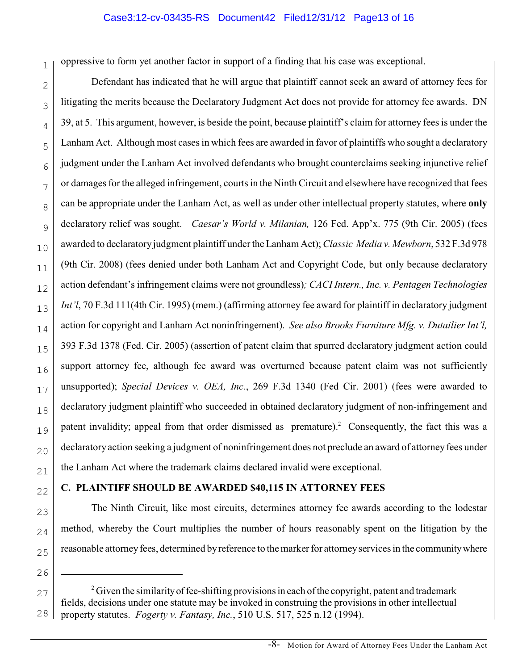## Case3:12-cv-03435-RS Document42 Filed12/31/12 Page13 of 16

1 oppressive to form yet another factor in support of a finding that his case was exceptional.

2 3 4 5 6 7 8 9 10 11 12 13 14 15 16 17 18 19 20 21 Defendant has indicated that he will argue that plaintiff cannot seek an award of attorney fees for litigating the merits because the Declaratory Judgment Act does not provide for attorney fee awards. DN 39, at 5. This argument, however, is beside the point, because plaintiff's claim for attorney fees is under the Lanham Act. Although most cases in which fees are awarded in favor of plaintiffs who sought a declaratory judgment under the Lanham Act involved defendants who brought counterclaims seeking injunctive relief or damages for the alleged infringement, courts in the Ninth Circuit and elsewhere have recognized that fees can be appropriate under the Lanham Act, as well as under other intellectual property statutes, where **only** declaratory relief was sought. *Caesar's World v. Milanian,* 126 Fed. App'x. 775 (9th Cir. 2005) (fees awarded to declaratory judgment plaintiff under the Lanham Act); *Classic Media v. Mewborn*, 532 F.3d 978 (9th Cir. 2008) (fees denied under both Lanham Act and Copyright Code, but only because declaratory action defendant's infringement claims were not groundless)*; CACI Intern., Inc. v. Pentagen Technologies Int'l*, 70 F.3d 111(4th Cir. 1995) (mem.) (affirming attorney fee award for plaintiff in declaratory judgment action for copyright and Lanham Act noninfringement). *See also Brooks Furniture Mfg. v. Dutailier Int'l,* 393 F.3d 1378 (Fed. Cir. 2005) (assertion of patent claim that spurred declaratory judgment action could support attorney fee, although fee award was overturned because patent claim was not sufficiently unsupported); *Special Devices v. OEA, Inc.*, 269 F.3d 1340 (Fed Cir. 2001) (fees were awarded to declaratory judgment plaintiff who succeeded in obtained declaratory judgment of non-infringement and patent invalidity; appeal from that order dismissed as premature).<sup>2</sup> Consequently, the fact this was a declaratory action seeking a judgment of noninfringement does not preclude an award of attorney fees under the Lanham Act where the trademark claims declared invalid were exceptional.

# 22 23

24

25

26

## **C. PLAINTIFF SHOULD BE AWARDED \$40,115 IN ATTORNEY FEES**

The Ninth Circuit, like most circuits, determines attorney fee awards according to the lodestar method, whereby the Court multiplies the number of hours reasonably spent on the litigation by the reasonable attorney fees, determined by reference to the marker for attorney services in the community where

<sup>27</sup> 28  $^2$  Given the similarity of fee-shifting provisions in each of the copyright, patent and trademark fields, decisions under one statute may be invoked in construing the provisions in other intellectual property statutes. *Fogerty v. Fantasy, Inc.*, 510 U.S. 517, 525 n.12 (1994).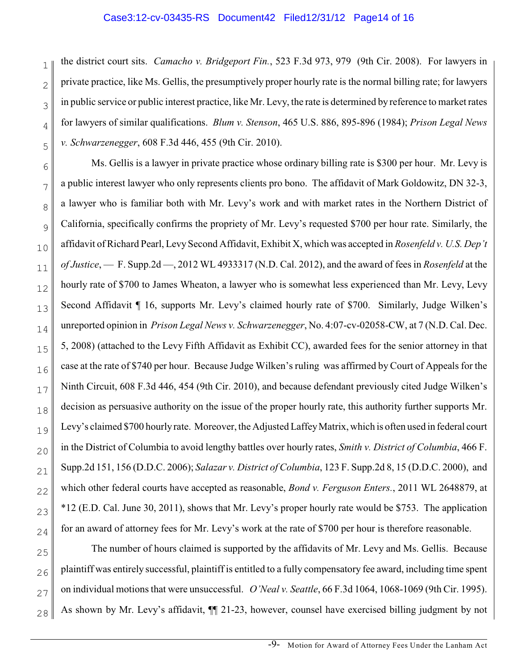#### Case3:12-cv-03435-RS Document42 Filed12/31/12 Page14 of 16

1 2 3 4 5 the district court sits. *Camacho v. Bridgeport Fin.*, 523 F.3d 973, 979 (9th Cir. 2008). For lawyers in private practice, like Ms. Gellis, the presumptively proper hourly rate is the normal billing rate; for lawyers in public service or public interest practice, like Mr. Levy, the rate is determined by reference to market rates for lawyers of similar qualifications. *Blum v. Stenson*, 465 U.S. 886, 895-896 (1984); *Prison Legal News v. Schwarzenegger*, 608 F.3d 446, 455 (9th Cir. 2010).

6 7 8 9 10 11 12 13 14 15 16 17 18 19 20 21 22 23 24 Ms. Gellis is a lawyer in private practice whose ordinary billing rate is \$300 per hour. Mr. Levy is a public interest lawyer who only represents clients pro bono. The affidavit of Mark Goldowitz, DN 32-3, a lawyer who is familiar both with Mr. Levy's work and with market rates in the Northern District of California, specifically confirms the propriety of Mr. Levy's requested \$700 per hour rate. Similarly, the affidavit of Richard Pearl, Levy Second Affidavit, Exhibit X, which was accepted in *Rosenfeld v. U.S. Dep't of Justice*, — F. Supp.2d —, 2012 WL 4933317 (N.D. Cal. 2012), and the award of fees in *Rosenfeld* at the hourly rate of \$700 to James Wheaton, a lawyer who is somewhat less experienced than Mr. Levy, Levy Second Affidavit  $\P$  16, supports Mr. Levy's claimed hourly rate of \$700. Similarly, Judge Wilken's unreported opinion in *Prison Legal News v. Schwarzenegger*, No. 4:07-cv-02058-CW, at 7 (N.D. Cal. Dec. 5, 2008) (attached to the Levy Fifth Affidavit as Exhibit CC), awarded fees for the senior attorney in that case at the rate of \$740 per hour. Because Judge Wilken's ruling was affirmed by Court of Appeals for the Ninth Circuit, 608 F.3d 446, 454 (9th Cir. 2010), and because defendant previously cited Judge Wilken's decision as persuasive authority on the issue of the proper hourly rate, this authority further supports Mr. Levy's claimed \$700 hourly rate. Moreover, the Adjusted Laffey Matrix, which is often used in federal court in the District of Columbia to avoid lengthy battles over hourly rates, *Smith v. District of Columbia*, 466 F. Supp.2d 151, 156 (D.D.C. 2006); *Salazar v. District of Columbia*, 123 F. Supp.2d 8, 15 (D.D.C. 2000), and which other federal courts have accepted as reasonable, *Bond v. Ferguson Enters.*, 2011 WL 2648879, at \*12 (E.D. Cal. June 30, 2011), shows that Mr. Levy's proper hourly rate would be \$753. The application for an award of attorney fees for Mr. Levy's work at the rate of \$700 per hour is therefore reasonable.

25 26 27 28 The number of hours claimed is supported by the affidavits of Mr. Levy and Ms. Gellis. Because plaintiff was entirely successful, plaintiff is entitled to a fully compensatory fee award, including time spent on individual motions that were unsuccessful. *O'Neal v. Seattle*, 66 F.3d 1064, 1068-1069 (9th Cir. 1995). As shown by Mr. Levy's affidavit, ¶¶ 21-23, however, counsel have exercised billing judgment by not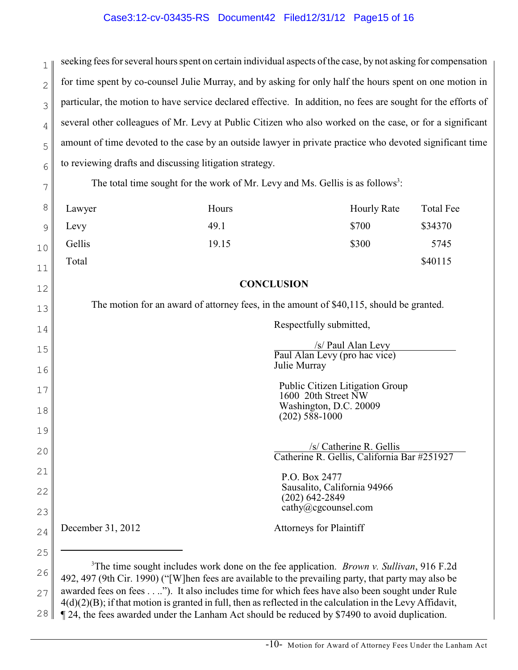## Case3:12-cv-03435-RS Document42 Filed12/31/12 Page15 of 16

1 2 3 4 5 6 seeking fees for several hours spent on certain individual aspects of the case, by not asking for compensation for time spent by co-counsel Julie Murray, and by asking for only half the hours spent on one motion in particular, the motion to have service declared effective. In addition, no fees are sought for the efforts of several other colleagues of Mr. Levy at Public Citizen who also worked on the case, or for a significant amount of time devoted to the case by an outside lawyer in private practice who devoted significant time to reviewing drafts and discussing litigation strategy.

The total time sought for the work of Mr. Levy and Ms. Gellis is as follows<sup>3</sup>:

7

12

13

| 8" | Lawyer | Hours | <b>Hourly Rate</b> | Total Fee |
|----|--------|-------|--------------------|-----------|
| 9  | Levy   | 49.1  | \$700              | \$34370   |
| 10 | Gellis | 19.15 | \$300              | 5745      |
| 11 | Total  |       |                    | \$40115   |

## **CONCLUSION**

The motion for an award of attorney fees, in the amount of \$40,115, should be granted.

| 14 |                   | Respectfully submitted,                                                |
|----|-------------------|------------------------------------------------------------------------|
| 15 |                   | /s/ Paul Alan Levy<br>Paul Alan Levy (pro hac vice)                    |
| 16 |                   | Julie Murray                                                           |
| 17 |                   | Public Citizen Litigation Group<br>1600 20th Street NW                 |
| 18 |                   | Washington, D.C. 20009<br>$(202)$ 588-1000                             |
| 19 |                   |                                                                        |
| 20 |                   | /s/ Catherine R. Gellis<br>Catherine R. Gellis, California Bar #251927 |
| 21 |                   | P.O. Box 2477                                                          |
| 22 |                   | Sausalito, California 94966<br>$(202)$ 642-2849                        |
| 23 |                   | cathy@cgcounsel.com                                                    |
| 24 | December 31, 2012 | <b>Attorneys for Plaintiff</b>                                         |
| 25 |                   |                                                                        |

26 27 28 <sup>3</sup>The time sought includes work done on the fee application. *Brown v. Sullivan*, 916 F.2d 492, 497 (9th Cir. 1990) ("[W]hen fees are available to the prevailing party, that party may also be awarded fees on fees . . ..").It also includes time for which fees have also been sought under Rule 4(d)(2)(B); if that motion is granted in full, then as reflected in the calculation in the Levy Affidavit, ¶ 24, the fees awarded under the Lanham Act should be reduced by \$7490 to avoid duplication.